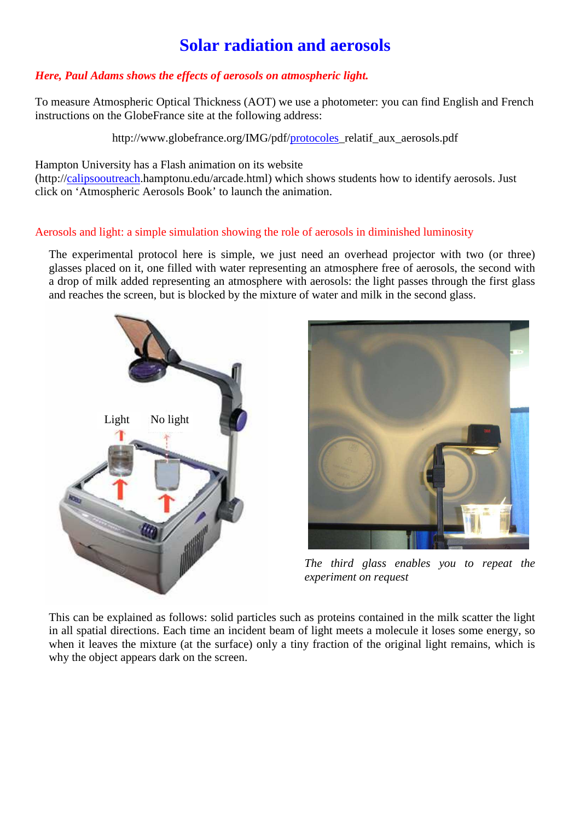## **Solar radiation and aerosols**

## *Here, Paul Adams shows the effects of aerosols on atmospheric light.*

To measure Atmospheric Optical Thickness (AOT) we use a photometer: you can find English and French instructions on the GlobeFrance site at the following address:

http://www.globefrance.org/IMG/pdf/protocoles\_relatif\_aux\_aerosols.pdf

Hampton University has a Flash animation on its website

(http://calipsooutreach.hamptonu.edu/arcade.html) which shows students how to identify aerosols. Just click on 'Atmospheric Aerosols Book' to launch the animation.

## Aerosols and light: a simple simulation showing the role of aerosols in diminished luminosity

The experimental protocol here is simple, we just need an overhead projector with two (or three) glasses placed on it, one filled with water representing an atmosphere free of aerosols, the second with a drop of milk added representing an atmosphere with aerosols: the light passes through the first glass and reaches the screen, but is blocked by the mixture of water and milk in the second glass.





*The third glass enables you to repeat the experiment on request* 

This can be explained as follows: solid particles such as proteins contained in the milk scatter the light in all spatial directions. Each time an incident beam of light meets a molecule it loses some energy, so when it leaves the mixture (at the surface) only a tiny fraction of the original light remains, which is why the object appears dark on the screen.